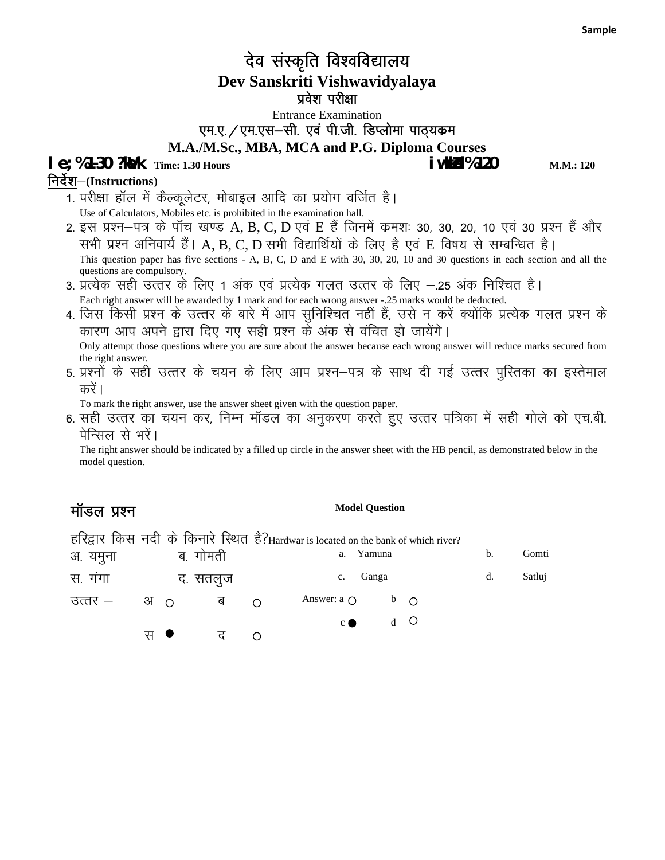## देव संस्कृति विश्वविद्यालय **Dev Sanskriti Vishwavidyalaya** प्रवेश परीक्षा

Entrance Examination एम.ए. / एम.एस-सी. एवं पी.जी. डिप्लोमा पाठ्यकम **M.A./M.Sc., MBA, MCA and P.G. Diploma Courses le; %1-30 ?kdk** Time: 1.30 Hours **in the 120 in the 120 in the 120** M.M.: 120

#### निर्देश–(Instructions)

- 1. परीक्षा हॉल में कैल्कूलेटर, मोबाइल आदि का प्रयोग वर्जित है। Use of Calculators, Mobiles etc. is prohibited in the examination hall.
- 2. इस प्रश्न–पत्र के पॉच खण्ड A, B, C, D एवं E हैं जिनमें कमशः 30, 30, 20, 10 एवं 30 प्रश्न हैं और सभी प्रश्न अनिवार्य हैं। A, B, C, D सभी विद्यार्थियों के लिए है एवं E विषय से सम्बन्धित है। This question paper has five sections - A, B, C, D and E with 30, 30, 20, 10 and 30 questions in each section and all the questions are compulsory.
- 3. प्रत्येक सही उत्तर के लिए 1 अंक एवं प्रत्येक गलत उत्तर के लिए —.25 अंक निश्चित है। Each right answer will be awarded by 1 mark and for each wrong answer -.25 marks would be deducted.
- 4. जिस किसी प्रश्न के उत्तर के बारे में आप सुनिश्चित नहीं हैं, उसे न करें क्योंकि प्रत्येक गलत प्रश्न के कारण आप अपने द्वारा दिए गए सही प्रश्न के अंक से वंचित हो जायेंगे। Only attempt those questions where you are sure about the answer because each wrong answer will reduce marks secured from
- the right answer.<br>5. प्रश्नों के सही उत्तर के चयन के लिए आप प्रश्न—पत्र के साथ दी गई उत्तर पुस्तिका का इस्तेमाल करें ।

To mark the right answer, use the answer sheet given with the question paper.

6. सही उत्तर का चयन कर, निम्न मॉडल का अनुकरण करते हुए उत्तर पत्रिका में सही गोले को एच.बी. पेन्सिल से भरें।

The right answer should be indicated by a filled up circle in the answer sheet with the HB pencil, as demonstrated below in the model question.

#### मॉडल प्रश्न

हरिद्वार किस नदी के किनारे स्थित है? Hardwar is located on the bank of which river?

| अ. यमुना |                 | ब. गोमती |          | Yamuna<br>a.         |       |  | b. | Gomti  |
|----------|-----------------|----------|----------|----------------------|-------|--|----|--------|
| स. गंगा  |                 | द. सतलुज |          | c. Ganga             |       |  | d. | Satluj |
| उत्तर —  | $3J$ $\bigcirc$ | ब        | $\Omega$ | Answer: a $\bigcirc$ | $b$ O |  |    |        |
|          |                 |          |          | $c \bullet$          | $d$ O |  |    |        |
|          | स ●             | ਟ        |          |                      |       |  |    |        |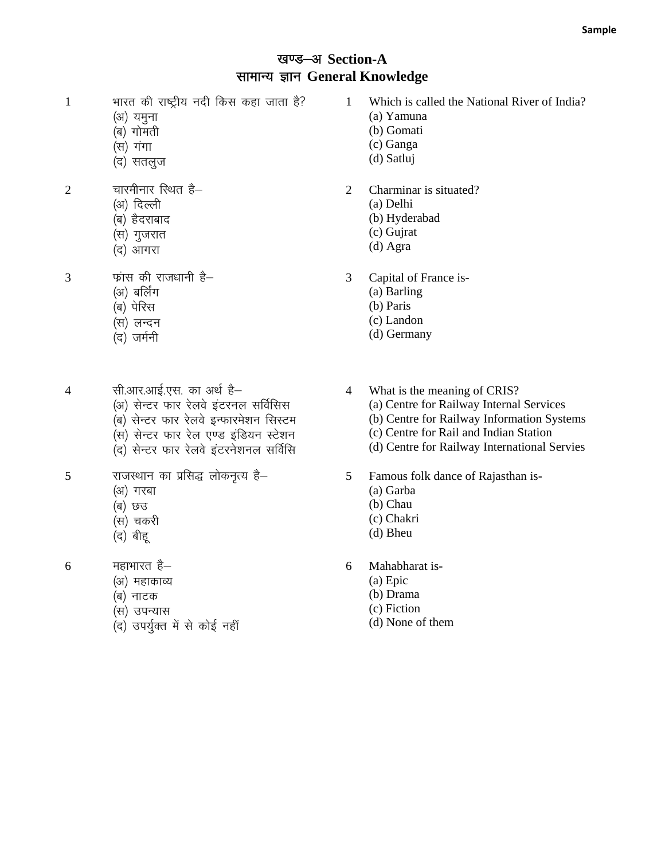#### खण्ड-अ Section-A सामान्य ज्ञान General Knowledge

- 1 भारत की राष्ट्रीय नदी किस कहा जाता है?
	- (अ) यमुना
	- (ब) गोमती
	- (स) गंगा
	- (द) सतलूज
- $2 \overline{q}$  चारमीनार स्थित है–
	- (अ) दिल्ली
	- (ब) हैदराबाद
	- (स) गुजरात
	- (द) आगरा

 $3 \qquad$  फ़ांस की राजधानी है–

- (अ) बर्लिंग
- $\overline{q}$ ) पेरिस
- (स) लन्दन
- (द) जर्मनी
- 4 सी.आर.आई.एस. का अर्थ है–
	- (अ) सेन्टर फार रेलवे इंटरनल सर्विसिस
	- (ब) सेन्टर फार रेलवे इन्फारमेशन सिस्टम
	- (स) सेन्टर फार रेल एण्ड इंडियन स्टेशन
	- ,<br>(द) सेन्टर फार रेलवे इंटरनेशनल सर्विसि
- $5$  राजस्थान का प्रसिद्ध लोकनृत्य है–
	- (अ) गरबा
	- (ৰ) *'*চও
	- (स) चकरी
	- (द) बीह्
- $6$  महाभारत है–
	- (अ) महाकाव्य
	- (ब) नाटक
	- (स) उपन्यास
	- (द) उपर्युक्त में से कोई नहीं
- 1 Which is called the National River of India?
	- (a) Yamuna
	- (b) Gomati
	- (c) Ganga
	- (d) Satluj
- 2 Charminar is situated?
	- (a) Delhi
		- (b) Hyderabad
		- (c) Gujrat
		- (d) Agra
- 3 Capital of France is-
	- (a) Barling
	- (b) Paris
	- (c) Landon
	- (d) Germany
- 4 What is the meaning of CRIS?
	- (a) Centre for Railway Internal Services
	- (b) Centre for Railway Information Systems
	- (c) Centre for Rail and Indian Station
	- (d) Centre for Railway International Servies
- 5 Famous folk dance of Rajasthan is-
	- (a) Garba
	- (b) Chau
	- (c) Chakri
	- (d) Bheu
- 6 Mahabharat is-
	- (a) Epic
	- (b) Drama
	- (c) Fiction
	- (d) None of them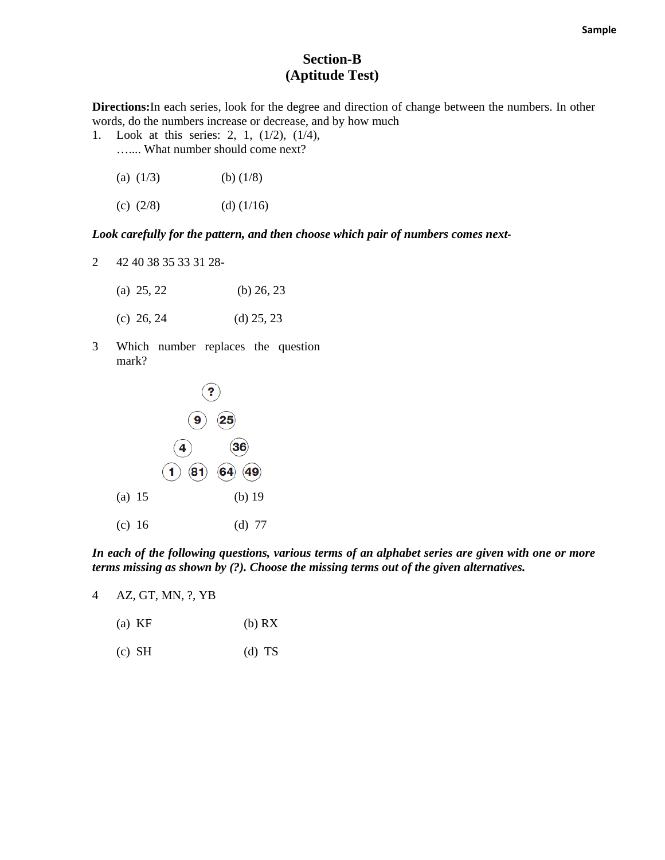#### **Section-B (Aptitude Test)**

**Directions:**In each series, look for the degree and direction of change between the numbers. In other words, do the numbers increase or decrease, and by how much

- 1. Look at this series: 2, 1, (1/2), (1/4), ….... What number should come next?
	- (a)  $(1/3)$  (b)  $(1/8)$
	- (c)  $(2/8)$  (d)  $(1/16)$

#### *Look carefully for the pattern, and then choose which pair of numbers comes next-*

2 42 40 38 35 33 31 28-

| (a) $25, 22$ | (b) $26, 23$ |
|--------------|--------------|
| (c) 26, 24   | $(d)$ 25, 23 |

3 Which number replaces the question mark?



*In each of the following questions, various terms of an alphabet series are given with one or more terms missing as shown by (?). Choose the missing terms out of the given alternatives.* 

4 AZ, GT, MN, ?, YB

- (a) KF (b) RX
- $(c)$  SH  $(d)$  TS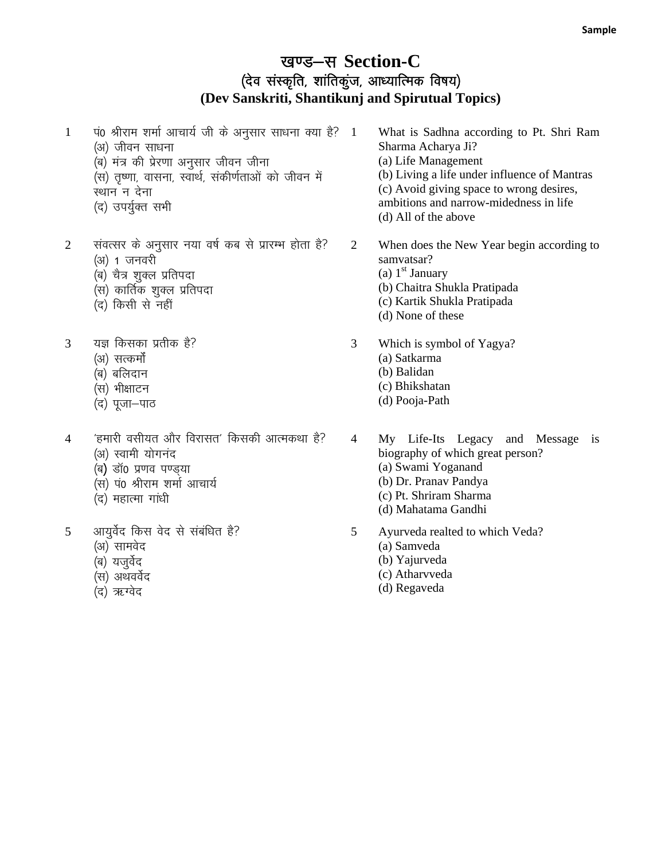#### खण्ड-स Section-C (देव संस्कृति, शांतिकूंज, आध्यात्मिक विषय) **(Dev Sanskriti, Shantikunj and Spirutual Topics)**

- $1$  पं0 श्रीराम शर्मा आचार्य जी के अनुसार साधना क्या है?  $1$ (अ) जीवन साधना .<br>(ब) मंत्र की प्रेरणा अनुसार जीवन जीना (स) तुष्णा, वासना, स्वार्थ, संकीर्णताओं को जीवन में स्थान न देना (द) उपर्युक्त सभी
- 2 संवत्सर के अनुसार नया वर्ष कब से प्रारम्भ होता है? (अ) 1 जनवरी
	- (ब) चैत्र शुक्ल प्रतिपदा
	- ्<br>(स) कार्तिक शुक्ल प्रतिपदा
	- (द) किसी से नहीं
- 3 यज्ञ किसका प्रतीक है?
	- (अ) सत्कर्मो
	- (ब) बलिदान
	- (स) भीक्षाटन
	- (द) पूजा-पाठ
- $4$   $\epsilon$  'हमारी वसीयत और विरासत' किसकी आत्मकथा है? (अ) स्वामी योगनंद
	- $\overline{a}$ ) डॉ0 प्रणव पण्ड्या
	- (स) प0 श्रीराम शर्मा आचार्य
	- (द) महात्मा गांधी
- $5$  आयुर्वेद किस वेद से संबंधित है?
	- (अ) सामवेद
	- (ब) यजुर्वेद
	- (स) अथवर्वेद
	- (द) ऋग्वेद
- 1 What is Sadhna according to Pt. Shri Ram Sharma Acharya Ji? (a) Life Management (b) Living a life under influence of Mantras (c) Avoid giving space to wrong desires, ambitions and narrow-midedness in life (d) All of the above
- 2 When does the New Year begin according to samvatsar? (a)  $1<sup>st</sup>$  January (b) Chaitra Shukla Pratipada
	- (c) Kartik Shukla Pratipada (d) None of these
- 3 Which is symbol of Yagya? (a) Satkarma
	- (b) Balidan
	- (c) Bhikshatan
	- (d) Pooja-Path
- 4 My Life-Its Legacy and Message is biography of which great person? (a) Swami Yoganand (b) Dr. Pranav Pandya (c) Pt. Shriram Sharma (d) Mahatama Gandhi
- 5 Ayurveda realted to which Veda? (a) Samveda (b) Yajurveda (c) Atharvveda
	- (d) Regaveda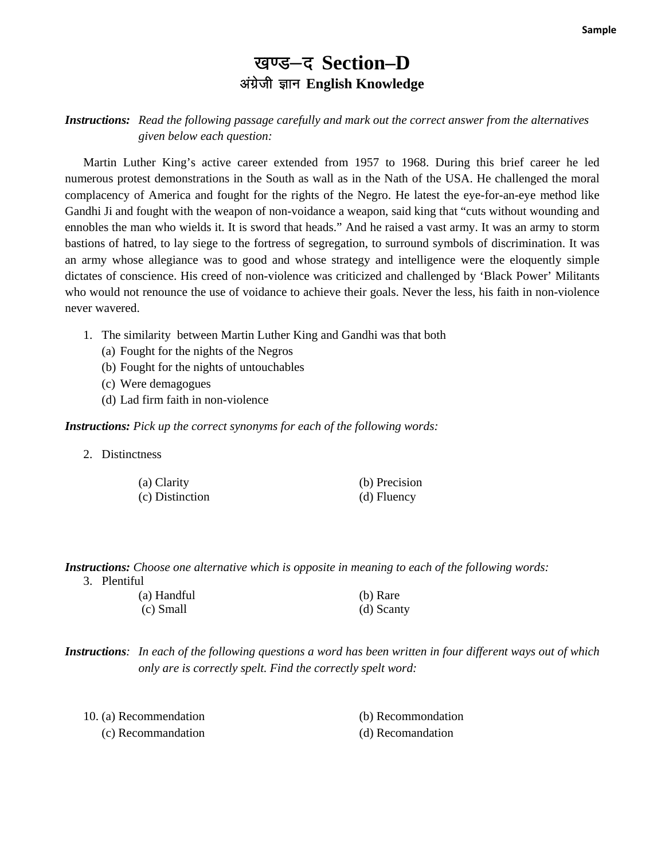## खण्ड-द Section-D अंग्रेजी ज्ञान English Knowledge

#### *Instructions: Read the following passage carefully and mark out the correct answer from the alternatives given below each question:*

Martin Luther King's active career extended from 1957 to 1968. During this brief career he led numerous protest demonstrations in the South as wall as in the Nath of the USA. He challenged the moral complacency of America and fought for the rights of the Negro. He latest the eye-for-an-eye method like Gandhi Ji and fought with the weapon of non-voidance a weapon, said king that "cuts without wounding and ennobles the man who wields it. It is sword that heads." And he raised a vast army. It was an army to storm bastions of hatred, to lay siege to the fortress of segregation, to surround symbols of discrimination. It was an army whose allegiance was to good and whose strategy and intelligence were the eloquently simple dictates of conscience. His creed of non-violence was criticized and challenged by 'Black Power' Militants who would not renounce the use of voidance to achieve their goals. Never the less, his faith in non-violence never wavered.

- 1. The similarity between Martin Luther King and Gandhi was that both
	- (a) Fought for the nights of the Negros
	- (b) Fought for the nights of untouchables
	- (c) Were demagogues
	- (d) Lad firm faith in non-violence

#### *Instructions: Pick up the correct synonyms for each of the following words:*

2. Distinctness

| (a) Clarity     | (b) Precision |
|-----------------|---------------|
| (c) Distinction | (d) Fluency   |

## *Instructions: Choose one alternative which is opposite in meaning to each of the following words:*

| Plentiful |
|-----------|
|           |

| (a) Handful | (b) Rare   |
|-------------|------------|
| (c) Small   | (d) Scanty |

*Instructions: In each of the following questions a word has been written in four different ways out of which only are is correctly spelt. Find the correctly spelt word:* 

| 10. (a) Recommendation | (b) Recommondation |
|------------------------|--------------------|
| (c) Recommandation     | (d) Recomandation  |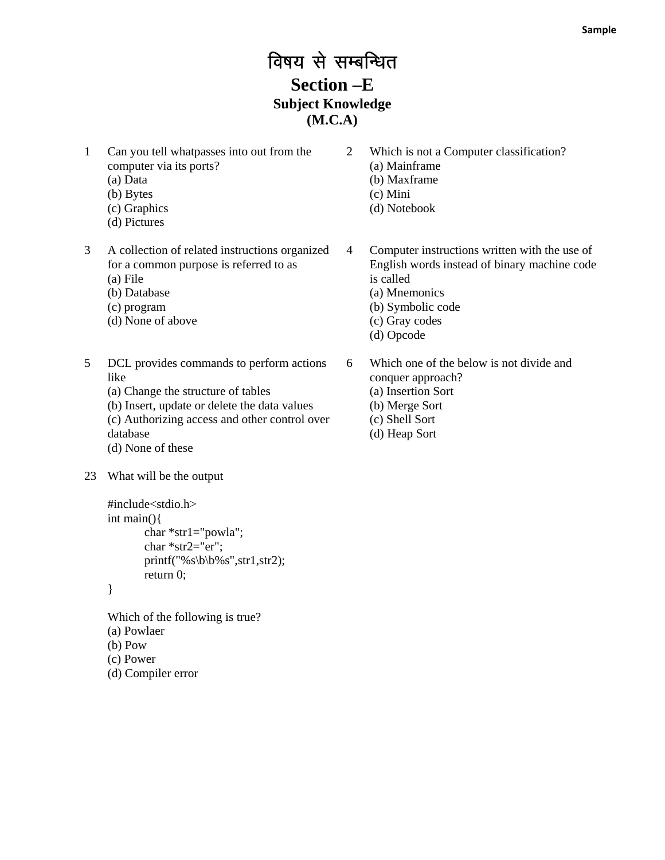## विषय से सम्बन्धित **Section –E Subject Knowledge (M.C.A)**

- 1 Can you tell whatpasses into out from the computer via its ports?
	- (a) Data
	- (b) Bytes
	- (c) Graphics
	- (d) Pictures
- 3 A collection of related instructions organized for a common purpose is referred to as
	- (a) File
	- (b) Database
	- (c) program
	- (d) None of above
- 5 DCL provides commands to perform actions like
	- (a) Change the structure of tables
	- (b) Insert, update or delete the data values
	- (c) Authorizing access and other control over database
	- (d) None of these
- 23 What will be the output

```
#include<stdio.h> 
int main(){ 
         char *str1="powla"; 
         char *str2="er"; 
        printf("%s\b\b%s",str1,str2);
         return 0;
```
}

Which of the following is true? (a) Powlaer (b) Pow (c) Power (d) Compiler error

- 2 Which is not a Computer classification? (a) Mainframe (b) Maxframe (c) Mini (d) Notebook
- 4 Computer instructions written with the use of English words instead of binary machine code is called (a) Mnemonics (b) Symbolic code
	- (c) Gray codes
	- (d) Opcode

6 Which one of the below is not divide and conquer approach? (a) Insertion Sort (b) Merge Sort (c) Shell Sort

(d) Heap Sort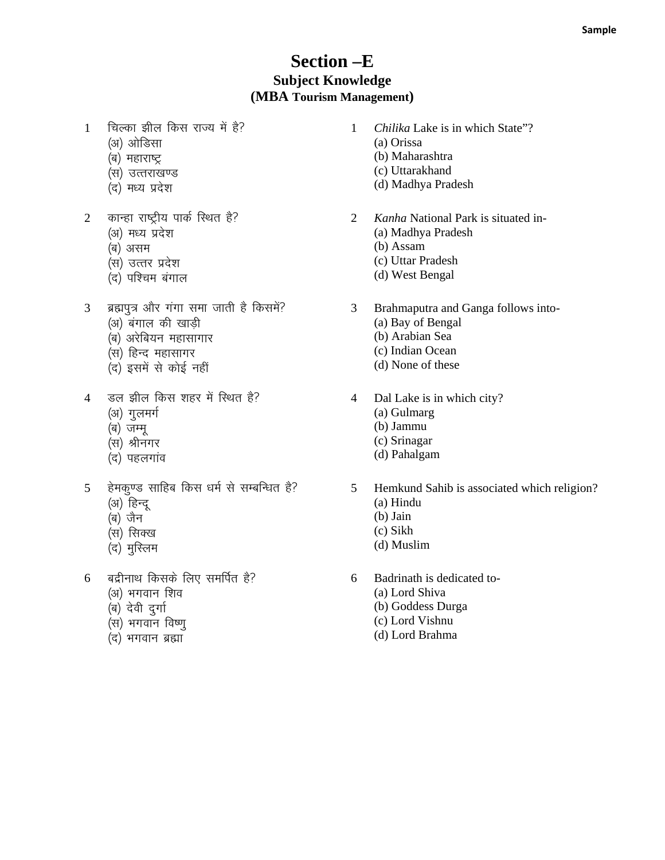#### **Section –E Subject Knowledge (MBA Tourism Management)**

- 1 विल्का झील किस राज्य में है?
	- (अ) ओडिसा
	- (ब) महाराष्ट्र
	- (स) उत्तराखण्ड
	- (द) मध्य प्रदेश
- 2 कान्हा राष्ट्रीय पार्क स्थित है?
	- (अ) मध्य प्रदेश
	- (ब) असम
	- (स) उत्तर प्रदेश
	- (द) पश्चिम बंगाल
- 3 ब्रह्मपुत्र और गंगा समा जाती है किसमें?
	- (अ) बंगाल की खाडी
	- (ब) अरेबियन महासागार
	- (स) हिन्द महासागर
	- (द) इसमें से कोई नहीं
- 4 जल झील किस शहर में स्थित है?
	- (अ) गुलमर्ग
	- (ब) जम्मू
	- (स) श्रीनगर
	- (द) पहलगांव
- 5 हेमकुण्ड साहिब किस धर्म से सम्बन्धित है?
	- (अ) हिन्दू
	- (ब) जैन
	- (स) सिक्ख (द) मुस्लिम
- $6$  बद्रीनाथ किसके लिए समर्पित है?
	- (अ) भगवान शिव
	- (ब) देवी दुर्गा
	- .<br>(स) भगवान विष्णू
	- (द) भगवान ब्रह्मा
- 1 *Chilika* Lake is in which State"?
	- (a) Orissa
	- (b) Maharashtra
	- (c) Uttarakhand
	- (d) Madhya Pradesh
- 2 *Kanha* National Park is situated in-
	- (a) Madhya Pradesh
	- (b) Assam
	- (c) Uttar Pradesh
	- (d) West Bengal
- 3 Brahmaputra and Ganga follows into-
	- (a) Bay of Bengal
	- (b) Arabian Sea
	- (c) Indian Ocean
	- (d) None of these
- 4 Dal Lake is in which city?
	- (a) Gulmarg
	- (b) Jammu
	- (c) Srinagar
	- (d) Pahalgam
- 5 Hemkund Sahib is associated which religion?
	- (a) Hindu
	- (b) Jain
	- (c) Sikh
	- (d) Muslim
- 6 Badrinath is dedicated to-
	- (a) Lord Shiva
	- (b) Goddess Durga
	- (c) Lord Vishnu
	- (d) Lord Brahma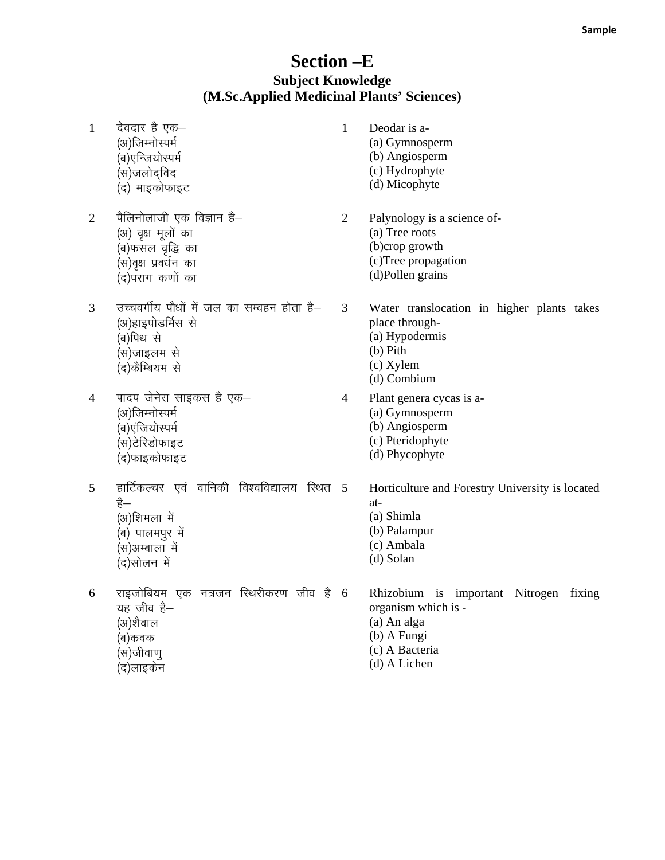# **Section -E** Subject Knowledge<br>
(M.Sc.Applied Medicinal Plants' Sciences)

| $\mathbf{1}$   | देवदार है एक–<br>(अ)जिम्नोस्पर्म<br>(ब)एन्जियोस्पर्म<br>(स)जलोदविद<br>(द) माइकोफाइट                                     | $\mathbf{1}$   | Deodar is a-<br>(a) Gymnosperm<br>(b) Angiosperm<br>(c) Hydrophyte<br>(d) Micophyte                                           |
|----------------|-------------------------------------------------------------------------------------------------------------------------|----------------|-------------------------------------------------------------------------------------------------------------------------------|
| $\overline{2}$ | पैलिनोलाजी एक विज्ञान है—<br>(अ) वृक्ष मूलों का<br>(ब)फसल वृद्धि का<br>(स)वृक्ष प्रवर्धन का<br>(द)पराग कणों का          | $\overline{2}$ | Palynology is a science of-<br>(a) Tree roots<br>(b)crop growth<br>(c)Tree propagation<br>(d)Pollen grains                    |
| 3              | उच्चवर्गीय पौधों में जल का सम्वहन होता है–<br>(अ)हाइपोडर्मिस से<br>(ब)पिथ से<br>(स)जाइलम से<br>(द)कैम्बियम से           | 3              | Water translocation in higher plants takes<br>place through-<br>(a) Hypodermis<br>$(b)$ Pith<br>$(c)$ Xylem<br>(d) Combium    |
| 4              | पादप जेनेरा साइकस है एक-<br>(अ)जिम्नोस्पर्म<br>(ब)एंजियोस्पर्म<br>(स)टेरिडोफाइट<br>(द)फाइकोफाइट                         | 4              | Plant genera cycas is a-<br>(a) Gymnosperm<br>(b) Angiosperm<br>(c) Pteridophyte<br>(d) Phycophyte                            |
| 5              | हार्टिकल्चर एवं वानिकी विश्वविद्यालय स्थित 5<br>है—<br>(अ)शिमला में<br>(ब) पालमपुर में<br>(स)अम्बाला में<br>(द)सोलन में |                | Horticulture and Forestry University is located<br>at-<br>(a) Shimla<br>(b) Palampur<br>(c) Ambala<br>(d) Solan               |
| 6              | राइजोबियम एक नत्रजन स्थिरीकरण जीव है $6$<br>यह जीव है–<br>(अ)शैवाल<br>(ब)कवक<br>(स)जीवाणु<br>(द)लाइकेन                  |                | Rhizobium is important Nitrogen fixing<br>organism which is -<br>(a) An alga<br>(b) A Fungi<br>(c) A Bacteria<br>(d) A Lichen |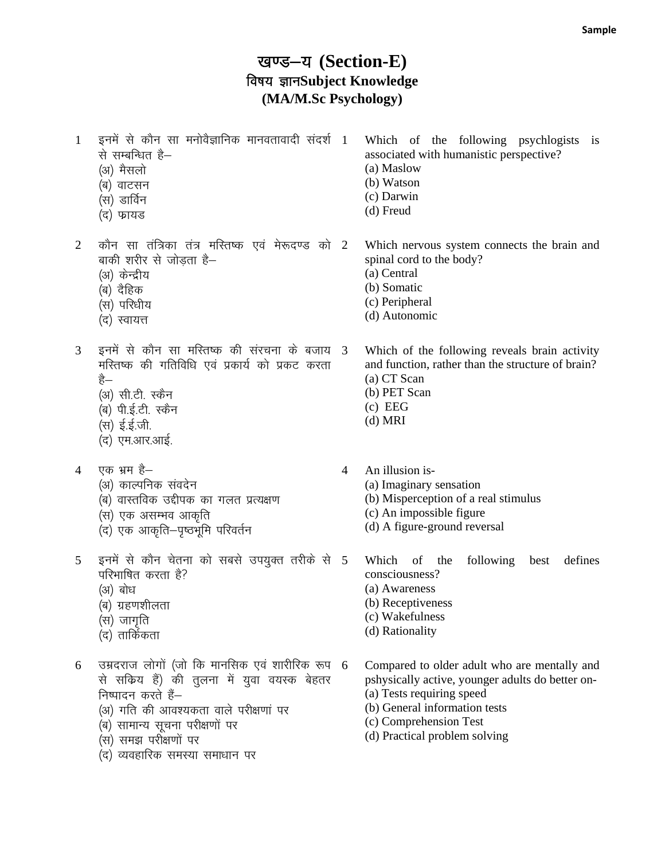### खण्ड-य (Section-E) विषय ज्ञानSubject Knowledge (MA/M.Sc Psychology)

इनमें से कौन सा मनोवैज्ञानिक मानवतावादी संदर्श 1  $\mathbf{1}$ Which of the following psychlogists is से सम्बन्धित हैassociated with humanistic perspective? (अ) मैसलो (a) Maslow (b) Watson (ब) वाटसन (c) Darwin (स) डार्विन  $(d)$  Freud (द) फायड कौन सा तंत्रिका तंत्र मस्तिष्क एवं मेरूदण्ड को 2  $\overline{2}$ Which nervous system connects the brain and बाकी शरीर से जोडता है– spinal cord to the body? (अ) केन्द्रीय (a) Central (b) Somatic (ब) दैहिक (c) Peripheral (स) परिधीय (d) Autonomic (द) स्वायत्त इनमें से कौन सा मस्तिष्क की संरचना के बजाय 3 3 Which of the following reveals brain activity मस्तिष्क की गतिविधि एवं प्रकार्य को प्रकट करता and function, rather than the structure of brain? (a) CT Scan है— (अ) सी.टी. स्कैन (b) PET Scan  $(c)$  EEG (ब) पी.ई.टी. स्कैन  $(d)$  MRI (स) ई.ई.जी. (द) एम.आर.आई. एक भ्रम है— An illusion is- $\overline{4}$  $\Lambda$ (अ) काल्पनिक संवदेन (a) Imaginary sensation (ब) वास्तविक उद्दीपक का गलत प्रत्यक्षण (b) Misperception of a real stimulus (c) An impossible figure .<br>(स) एक असम्भव आकृति<br>(द) एक आकृति—पृष्ठभूमि परिवर्तन (d) A figure-ground reversal इनमें से कौन चेतना को सबसे उपयुक्त तरीके से 5 5 Which of the following best defines परिभाषित करता है? consciousness? (अ) बोध (a) Awareness (b) Receptiveness (ब) ग्रहणशीलता (c) Wakefulness (स) जागृति (d) Rationality (द) तार्किकता उम्रदराज लोगों (जो कि मानसिक एवं शारीरिक रूप 6 6 Compared to older adult who are mentally and से सकिय हैं) की तुलना में युवा वयस्क बेहतर pshysically active, younger adults do better on-(a) Tests requiring speed निष्पादन करते हैं-(b) General information tests (अ) गति की आवश्यकता वाले परीक्षणां पर (c) Comprehension Test (ब) सामान्य सूचना परीक्षणों पर (d) Practical problem solving (स) समझ परीक्षणों पर (द) व्यवहारिक समस्या समाधान पर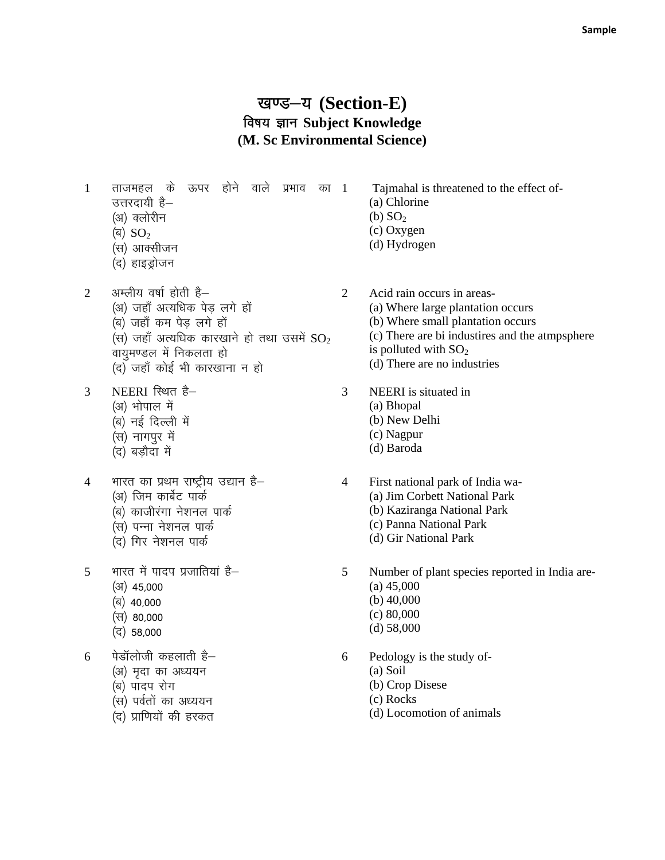#### खण्ड-य (Section-E) विषय ज्ञान Subject Knowledge (M. Sc Environmental Science)

 $\mathbf{1}$ ताजमहल के ऊपर होने वाले प्रभाव का 1 उत्तरदायी है– (अ) क्लोरीन

- (ৰ)  $SO_2$
- (स) आक्सीजन
- (द) हाइड्रोजन
- अम्लीय वर्षा होती है- $\overline{2}$ (अ) जहाँ अत्यधिक पेड लगे हों (ब) जहाँ कम पेड लगे हों (स) जहाँ अत्यधिक कारखाने हो तथा उसमें  $SO_2$ वायुमण्डल में निकलता हो (द) जहाँ कोई भी कारखाना न हो
- NEERI स्थित है-3
	- (अ) भोपाल में
	- (ब) नई दिल्ली में
	- (स) नागपुर में
	- (द) बडौदा में
- भारत का प्रथम राष्ट्रीय उद्यान है- $\overline{4}$ (अ) जिम कार्बेट पार्क (ब) काजीरंगा नेशनल पार्क (स) पन्ना नेशनल पार्क
	- (द) गिर नेशनल पार्क
- भारत में पादप प्रजातियां है- $\overline{5}$ 
	- $(3)$  45.000
	- (ब) 40,000
	- (स) 80,000
	- $($ द) 58,000

पेडॉलोजी कहलाती है– 6

- (अ) मृदा का अध्ययन
- (ब) पादप रोग
- (स) पर्वतों का अध्ययन
- (द) प्राणियों की हरकत
- Tajmahal is threatened to the effect of-(a) Chlorine (b)  $SO<sub>2</sub>$ (c) Oxygen (d) Hydrogen
- $\overline{2}$ Acid rain occurs in areas-(a) Where large plantation occurs (b) Where small plantation occurs (c) There are bi industires and the atmpsphere is polluted with  $SO<sub>2</sub>$ (d) There are no industries
- $\mathfrak{Z}$ NEERI is situated in (a) Bhopal
	- (b) New Delhi
		- (c) Nagpur
		- (d) Baroda
- $\overline{4}$ First national park of India wa-(a) Jim Corbett National Park (b) Kaziranga National Park
	- (c) Panna National Park
	- (d) Gir National Park
- $5\overline{)}$ Number of plant species reported in India are- $(a)$  45,000 (b)  $40,000$  $(c) 80,000$  $(d)$  58,000
- 6 Pedology is the study of-
	- $(a)$  Soil
		- (b) Crop Disese
	- (c) Rocks
	- (d) Locomotion of animals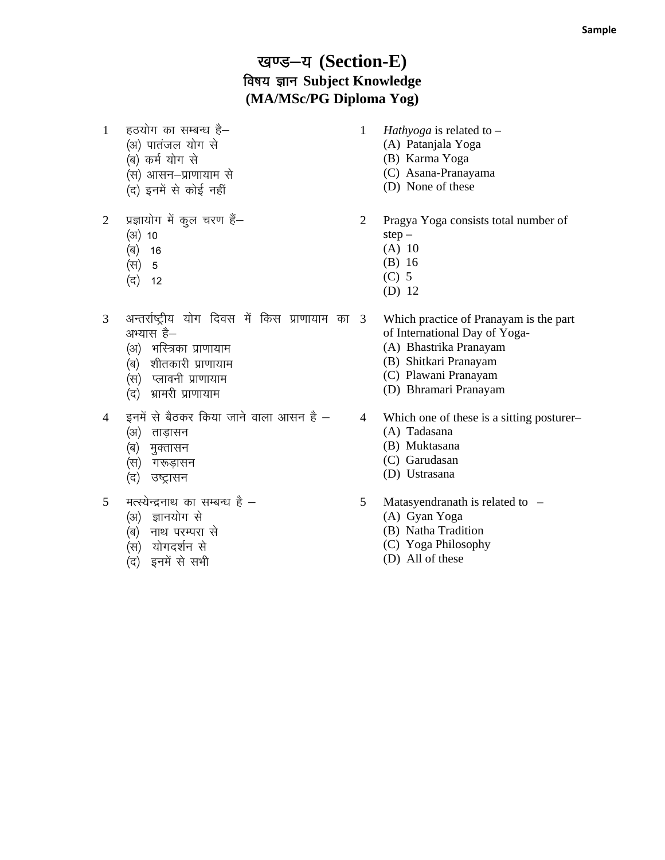### खण्ड-य (Section-E) **बिषय ज्ञान Subject Knowledge (MA/MSc/PG Diploma Yog)**

- 1 हठयोग का सम्बन्ध है-
	- (अ) पातंजल योग से
	- (ब) कर्म योग से
	- (स) आसन-प्राणायाम से (द) इनमें से कोई नहीं
- 2 प्रज्ञायोग में कुल चरण हैं-
	- $(3)$  10
	- (ৰ) 16
	- (स) 5
	- $( \vec{q} )$  12
- 3 अन्तर्राष्ट्रीय योग दिवस में किस प्राणायाम का 3 अभ्यास है–
	- (अ) भस्त्रिका प्राणायाम
	- (ब) शीतकारी प्राणायाम
	- (स) प्लावनी प्राणायाम
	- (द) भ्रामरी प्राणायाम
- $4$  इनमें से बैठकर किया जाने वाला आसन है  $-$ 
	- (अ) ताड़ासन
	- (ब) मुक्तासन
	- (स) गरूड़ासन
	- (द) उष्ट्रासन
- 5 मत्स्येन्द्रनाथ का सम्बन्ध है $-$ 
	- (अ) ज्ञानयोग से
	- (ब) नाथ परम्परा से
	- (स) योगदर्शन से
	- (द) इनमें से सभी
- 1 *Hathyoga* is related to
	- (A) Patanjala Yoga
	- (B) Karma Yoga
	- (C) Asana-Pranayama
	- (D) None of these
- 2 Pragya Yoga consists total number of step –
	- (A) 10
	- (B) 16
	- (C) 5
	- (D) 12
	- 3 Which practice of Pranayam is the part of International Day of Yoga-
	- (A) Bhastrika Pranayam
	- (B) Shitkari Pranayam
	- (C) Plawani Pranayam
	- (D) Bhramari Pranayam
- 4 Which one of these is a sitting posturer–
	- (A) Tadasana
	- (B) Muktasana
	- (C) Garudasan
	- (D) Ustrasana
- 5 Matasyendranath is related to
	- (A) Gyan Yoga
	- (B) Natha Tradition
	- (C) Yoga Philosophy
	- (D) All of these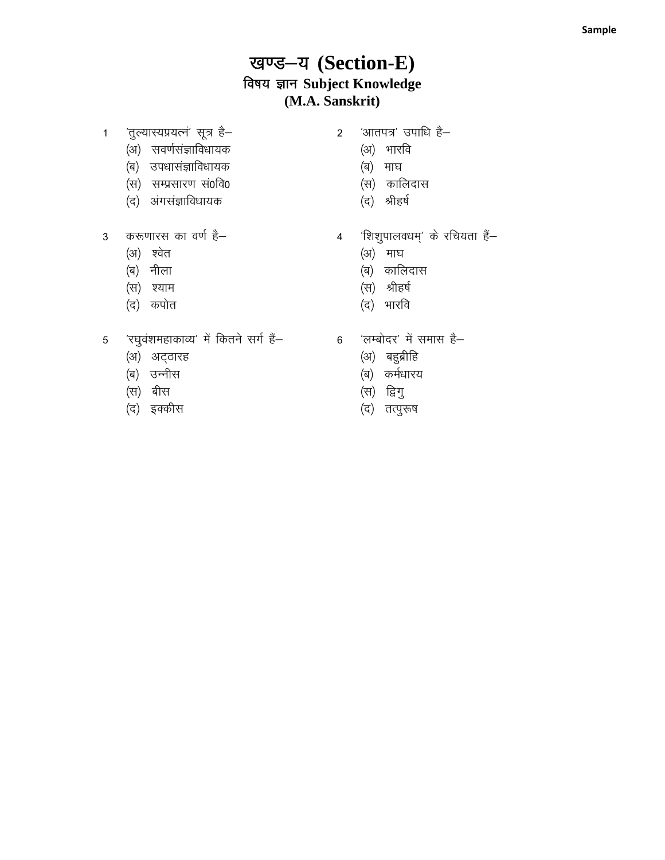## खण्ड-य (Section-E) विषय ज्ञान Subject Knowledge (M.A. Sanskrit)

- 'तुल्यास्यप्रयत्नं' सूत्र है–  $1 -$ 
	- (अ) सवर्णसंज्ञाविधायक
	- (ब) उपधासंज्ञाविधायक
	- (स) सम्प्रसारण सं0वि0
	- (द) अंगसंज्ञाविधायक
- 3 करूणारस का वर्ण है–
	- (अ) श्वेत
	- (ब) नीला
	- (स) श्याम
	- (द) कपोत
- 5 'रघुवंशमहाकाव्य' में कितने सर्ग हैं-
	- (अ) अट्ठारह
	- (ब) उन्नीस
	- (स) बीस
	- (द) इक्कीस
- 'आतपत्र' उपाधि है- $\overline{2}$ 
	- (अ) भारवि
	- (ब) माघ
	- (स) कालिदास
	- (द) श्रीहर्ष
- 'शिशुपालवधम्' के रचियता हैं—  $\overline{4}$ 
	- (अ) माघ
	- (ब) कालिदास
	- (स) श्रीहर्ष
	- (द) भारवि
- 'लम्बोदर' में समास है–  $6\overline{6}$ 
	- (अ) बहुब्रीहि
	- (ब) कर्मधारय
	- (स) द्विगु
	- (द) तत्पुरूष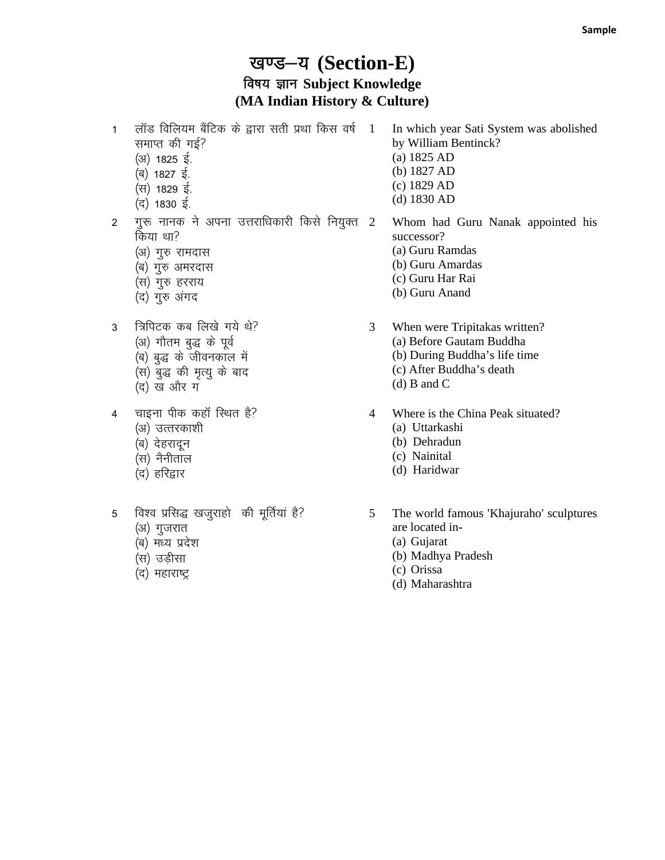#### खण्ड-य (Section-E) **बिषय ज्ञान Subject Knowledge (MA Indian History & Culture)**

- 1 लॉड विलियम बैंटिक के द्वारा सती प्रथा किस वर्ष 1 समाप्त की गई?
	- (अ) 1825 ई.
	- (ब) 1827 ई.
	- (स) 1829 ई.
	- $($ द) 1830 ई.
- 2 मुरू नानक ने अपना उत्तराधिकारी किसे नियुक्त  $2$ किया था?
	- (अ) गुरु रामदास
	- (ब) गुरु अमरदास
	- (स) गुरु हरराय
	- (द) गुरु अंगद
- 3 त्रिपिटक कब लिखे गये थे?
	- (अ) गौतम बुद्ध के पूर्व
	- $\overline{a}$ ) बुद्ध के जीवनकाल में
	- (स) बुद्ध की मृत्यु के बाद
	- (द) ख और ग
- 4 चाइना पीक कहॉ स्थित है?
	- (अ) उत्तरकाशी
	- (ब) देहरादून
	- (स) नैनीताल
	- (द) हरिद्वार
- 5 विश्व प्रसिद्ध खजुराहो की मूर्तियां है?
	- (अ) गुजरात
	- (ब) मध्य प्रदेश
	- (स) उड़ीसा
	- (द) महाराष्ट्र
- In which year Sati System was abolished by William Bentinck?
- (a) 1825 AD
- (b) 1827 AD
- (c) 1829 AD
- (d) 1830 AD

2 Whom had Guru Nanak appointed his successor? (a) Guru Ramdas (b) Guru Amardas (c) Guru Har Rai

- (b) Guru Anand
- 3 When were Tripitakas written? (a) Before Gautam Buddha
	- (b) During Buddha's life time
	- (c) After Buddha's death
	- (d) B and C
- 4 Where is the China Peak situated?
	- (a) Uttarkashi
	- (b) Dehradun
	- (c) Nainital
	- (d) Haridwar
- 5 The world famous 'Khajuraho' sculptures are located in-
	- (a) Gujarat
	- (b) Madhya Pradesh
	- (c) Orissa
	- (d) Maharashtra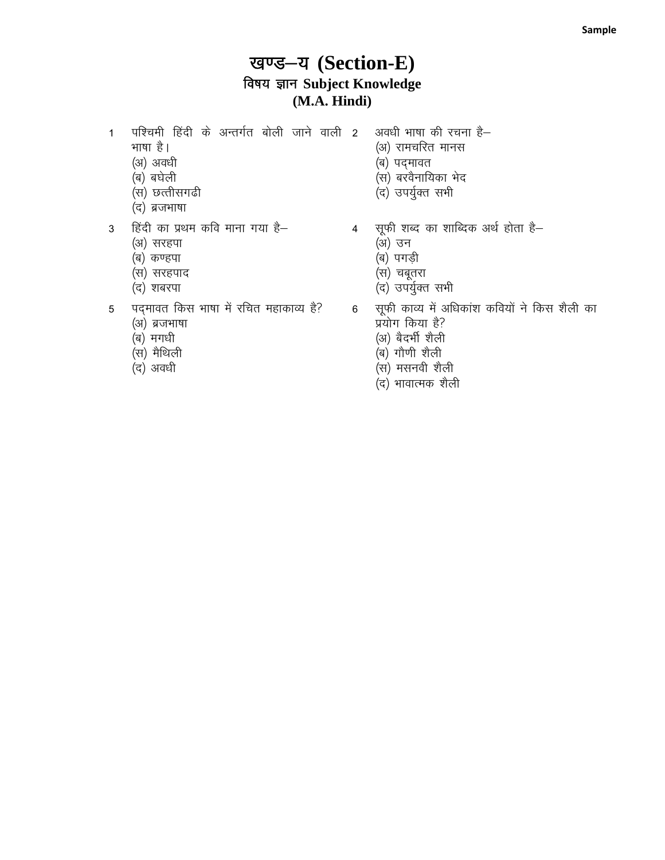## खण्ड-य (Section-E) विषय ज्ञान Subject Knowledge (M.A. Hindi)

- पश्चिमी हिंदी के अन्तर्गत बोली जाने वाली 2  $\mathbf{1}$ भाषा है।
	- (अ) अवधी
	- (ब) बघेली
	- (स) छत्तीसगढी
	- (द) ब्रजभाषा
- हिंदी का प्रथम कवि माना गया है–  $\mathbf{3}$ 
	- (अ) सरहपा
	- (ब) कण्हपा
	- (स) सरहपाद
	- (द) शबरपा
- पदमावत किस भाषा में रचित महाकाव्य है? 5
	- (अ) ब्रजभाषा
	- (ब) मगधी
	- (स) मैथिली
	- (द) अवधी
- अवधी भाषा की रचना है-
	- (अ) रामचरित मानस
	- (ब) पद्मावत
	- (स) बरवैनायिका भेद
	- (द) उपर्युक्त सभी
- सूफी शब्द का शाब्दिक अर्थ होता है–  $\overline{4}$ 
	- (अ) उन
	- (ब) पगडी
	- (स) चबूतरा
	- (द) उपर्युक्त सभी
- सूफी काव्य में अधिकांश कवियों ने किस शैली का  $6\overline{6}$ प्रयोग किया है?
	- (अ) बैदर्भी शैली
	- (ब) गौणी शैली
	- (स) मसनवी शैली
	- (द) भावात्मक शैली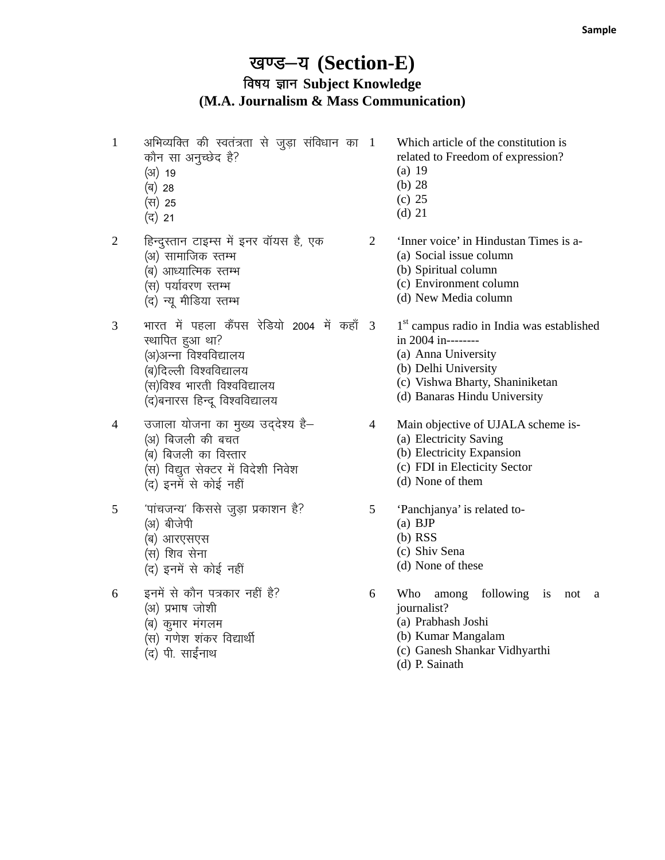### खण्ड-य (Section-E) **बिषय ज्ञान Subject Knowledge (M.A. Journalism & Mass Communication)**

- $1$  अभिव्यक्ति की स्वतंत्रता से जुड़ा संविधान का  $1$ कौन सा अनुच्छेद है?
	- $(3)$  19
	- (ब) 28
	- $(H)$  25
	- $( \vec{q} ) 21$
	-
- 2 हिन्दुस्तान टाइम्स में इनर वॉयस है, एक
	- (अ) सामाजिक स्तम्भ
	- (ब) आध्यात्मिक स्तम्भ
	- (स) पर्यावरण स्तम्भ
	- (द) न्यू मीडिया स्तम्भ
- $3$  भारत में पहला कैंपस रेडियो 2004 में कहाँ 3 स्थापित हुआ था? (अ)अन्ना विश्वविद्यालय (ब)दिल्ली विश्वविद्यालय (स)विश्व भारती विश्वविद्यालय (द)बनारस हिन्दू विश्वविद्यालय
- 4 जिलाला योजना का मुख्य उद्देश्य है–
	- (अ) बिजली की बचत
	- (ब) बिजली का विस्तार
	- (स) विद्युत सेक्टर में विदेशी निवेश
	- $\overleftrightarrow{a}$  इनमें से कोई नहीं
- $5$  थांचजन्य' किससे जुड़ा प्रकाशन है? (अ) बीजेपी
	- (ब) आरएसएस
	- (स) शिव सेना
	- (द) इनमें से कोई नहीं
- $6$  हनमें से कौन पत्रकार नहीं है?
	- (अ) प्रभाष जोशी
	- (ब) कुमार मंगलम
	- $(x)$  गणेश शंकर विद्यार्थी
	- (द) पी. साईनाथ
- Which article of the constitution is related to Freedom of expression?
- (a) 19
- (b) 28
- (c) 25
- (d) 21

2 'Inner voice' in Hindustan Times is a-

- (a) Social issue column
- (b) Spiritual column
- (c) Environment column
- (d) New Media column

1<sup>st</sup> campus radio in India was established in 2004 in--------

- (a) Anna University
- (b) Delhi University
- (c) Vishwa Bharty, Shaniniketan
- (d) Banaras Hindu University
- 4 Main objective of UJALA scheme is-
	- (a) Electricity Saving
	- (b) Electricity Expansion
	- (c) FDI in Electicity Sector
	- (d) None of them
- 5 'Panchjanya' is related to-
	- (a) BJP
	- (b) RSS
	- (c) Shiv Sena
	- (d) None of these
- 6 Who among following is not a journalist?
	- (a) Prabhash Joshi
	- (b) Kumar Mangalam
	- (c) Ganesh Shankar Vidhyarthi
	- (d) P. Sainath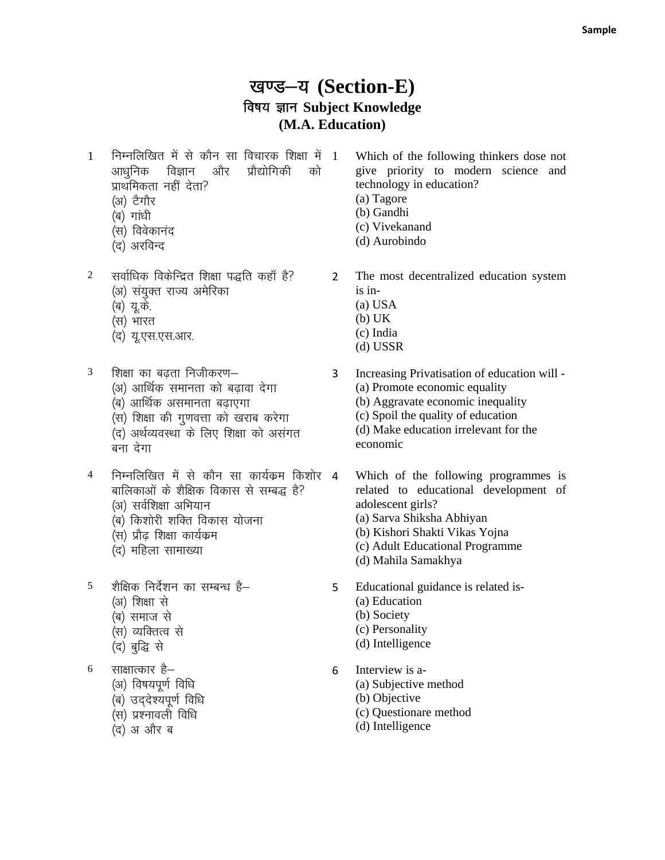#### खण्ड-य (Section-E) विषय ज्ञान Subject Knowledge (M.A. Education)

निम्नलिखित में से कौन सा विचारक शिक्षा में 1  $\mathbf{1}$ प्रौद्योगिकी आधुनिक विज्ञान और को प्राथमिकता नहीं देता?

- (अ) टैगौर
- (ब) गांधी
- (स) विवेकानंद
- (द) अरविन्द
- सर्वाधिक विकेन्द्रित शिक्षा पद्धति कहाँ है?  $\overline{2}$ (अ) संयुक्त राज्य अमेरिका
	- (ब) यू.के.
	- (स) भारत
	- (द) यू.एस.एस.आर.
- $\mathfrak{Z}$ शिक्षा का बढता निजीकरण– (अ) आर्थिक समानता को बढावा देगा (ब) आर्थिक असमानता बढाएगा (स) शिक्षा की गुणवत्ता को खराब करेगा (द) अर्थव्यवस्था के लिए शिक्षा को असंगत बना देगा
- $\overline{4}$ निम्नलिखित में से कौन सा कार्यक्रम किशोर 4 बालिकाओं के शैक्षिक विकास से सम्बद्ध है?
	- (अ) सर्वशिक्षा अभियान
	- (ब) किशोरी शक्ति विकास योजना
	- (स) प्रौढ शिक्षा कार्यक्रम
	- (द) महिला सामाख्या
- शैक्षिक निर्देशन का सम्बन्ध है–  $\overline{5}$ (अ) शिक्षा से (ब) समाज से (स) व्यक्तित्व से
	- (द) बुद्धि से

6 साक्षात्कार है–

- (अ) विषयपूर्ण विधि
- (ब) उद्देश्यपूर्ण विधि
- (स) प्रश्नावली विधि
- (द) अ और ब

Which of the following thinkers dose not give priority to modern science and technology in education?

- (a) Tagore
- (b) Gandhi
- (c) Vivekanand
- (d) Aurobindo

 $2^{\circ}$ The most decentralized education system is in-

- $(a)$  USA
- $(b) UK$
- (c) India
- $(d)$  USSR
- $\overline{3}$ Increasing Privatisation of education will -(a) Promote economic equality (b) Aggravate economic inequality (c) Spoil the quality of education (d) Make education irrelevant for the economic
	- Which of the following programmes is related to educational development of adolescent girls?
		- (a) Sarva Shiksha Abhiyan
		- (b) Kishori Shakti Vikas Yojna
		- (c) Adult Educational Programme
		- (d) Mahila Samakhya
- Educational guidance is related is-5 (a) Education
	- (b) Society
	- (c) Personality
	- (d) Intelligence
- 6 Interview is a-
	- (a) Subjective method
	- (b) Objective
	- (c) Questionare method
	- (d) Intelligence